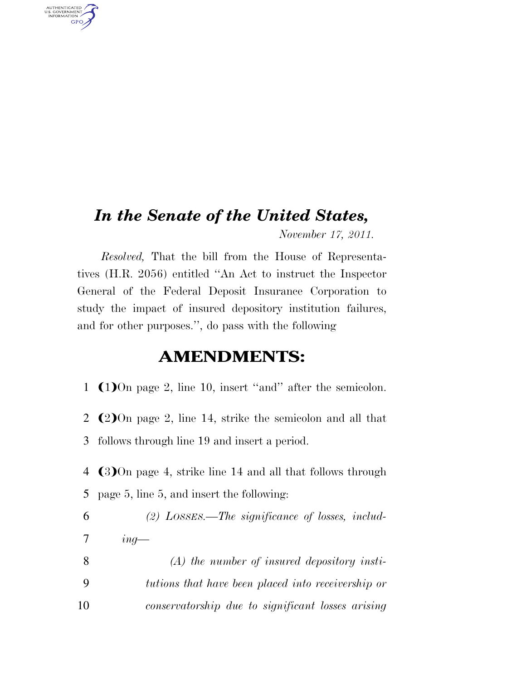## *In the Senate of the United States,*

AUTHENTICATED<br>U.S. GOVERNMENT<br>INFORMATION **GPO** 

*November 17, 2011.* 

*Resolved,* That the bill from the House of Representatives (H.R. 2056) entitled ''An Act to instruct the Inspector General of the Federal Deposit Insurance Corporation to study the impact of insured depository institution failures, and for other purposes.'', do pass with the following

## **AMENDMENTS:**

- 1  $(1)$ On page 2, line 10, insert "and" after the semicolon.
- 2  $(2)$ On page 2, line 14, strike the semicolon and all that 3 follows through line 19 and insert a period.
- 4 (3) On page 4, strike line 14 and all that follows through 5 page 5, line 5, and insert the following:
- 6 *(2) LOSSES.—The significance of losses, includ-*7 *ing—*
- 8 *(A) the number of insured depository insti-*9 *tutions that have been placed into receivership or*  10 *conservatorship due to significant losses arising*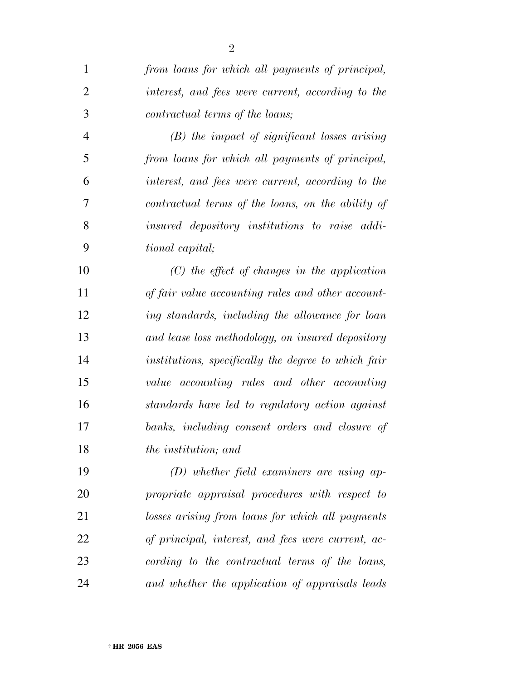| $\mathbf{1}$   | from loans for which all payments of principal,     |
|----------------|-----------------------------------------------------|
| $\overline{2}$ | interest, and fees were current, according to the   |
| 3              | contractual terms of the loans;                     |
| $\overline{4}$ | $(B)$ the impact of significant losses arising      |
| 5              | from loans for which all payments of principal,     |
| 6              | interest, and fees were current, according to the   |
| $\tau$         | contractual terms of the loans, on the ability of   |
| 8              | insured depository institutions to raise addi-      |
| 9              | tional capital;                                     |
| 10             | $(C)$ the effect of changes in the application      |
| 11             | of fair value accounting rules and other account-   |
| 12             | ing standards, including the allowance for loan     |
| 13             | and lease loss methodology, on insured depository   |
| 14             | institutions, specifically the degree to which fair |
| 15             | value accounting rules and other accounting         |
| 16             | standards have led to regulatory action against     |
| 17             | banks, including consent orders and closure of      |
| 18             | <i>the institution</i> ; and                        |
| 19             | $(D)$ whether field examiners are using ap-         |
| 20             | propriate appraisal procedures with respect to      |
| 21             | losses arising from loans for which all payments    |
| 22             | of principal, interest, and fees were current, ac-  |
| 23             | cording to the contractual terms of the loans,      |
| 24             | and whether the application of appraisals leads     |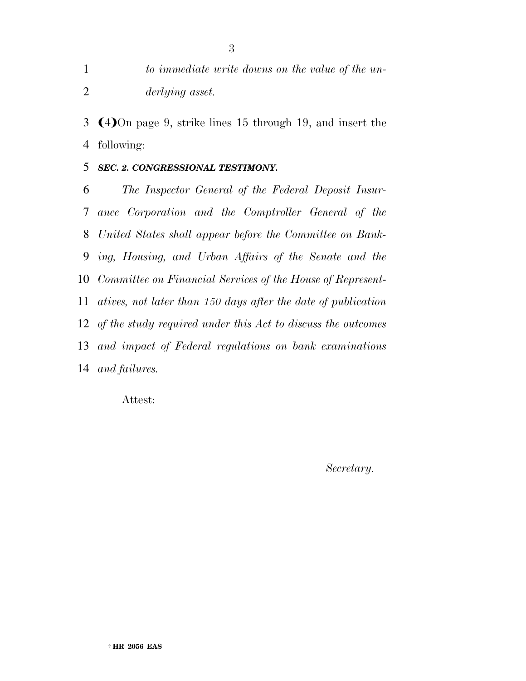*to immediate write downs on the value of the un-derlying asset.* 

3  $(4)$ On page 9, strike lines 15 through 19, and insert the following:

*SEC. 2. CONGRESSIONAL TESTIMONY.* 

 *The Inspector General of the Federal Deposit Insur- ance Corporation and the Comptroller General of the United States shall appear before the Committee on Bank- ing, Housing, and Urban Affairs of the Senate and the Committee on Financial Services of the House of Represent- atives, not later than 150 days after the date of publication of the study required under this Act to discuss the outcomes and impact of Federal regulations on bank examinations and failures.* 

Attest:

*Secretary.*